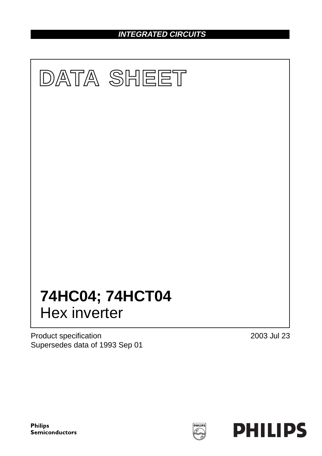**INTEGRATED CIRCUITS**



Product specification Supersedes data of 1993 Sep 01 2003 Jul 23



**Philips Semiconductors**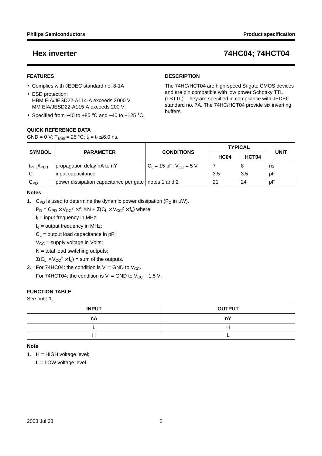### **FEATURES**

- Complies with JEDEC standard no. 8-1A
- ESD protection: HBM EIA/JESD22-A114-A exceeds 2000 V MM EIA/JESD22-A115-A exceeds 200 V.
- Specified from −40 to +85 °C and −40 to +125 °C.

### **QUICK REFERENCE DATA**

GND = 0 V; T<sub>amb</sub> = 25 °C;  $t_r = t_f \le 6.0$  ns.

### **DESCRIPTION**

The 74HC/HCT04 are high-speed Si-gate CMOS devices and are pin compatible with low power Schottky TTL (LSTTL). They are specified in compliance with JEDEC standard no. 7A. The 74HC/HCT04 provide six inverting buffers.

| <b>SYMBOL</b>                      | <b>PARAMETER</b>                                       | <b>CONDITIONS</b>             | <b>TYPICAL</b> | <b>UNIT</b> |    |
|------------------------------------|--------------------------------------------------------|-------------------------------|----------------|-------------|----|
|                                    |                                                        |                               | <b>HC04</b>    | HCT04       |    |
| t <sub>PHL</sub> /t <sub>PLH</sub> | propagation delay nA to nY                             | $C_L$ = 15 pF; $V_{CC}$ = 5 V |                | 8           | ns |
|                                    | input capacitance                                      |                               | 3.5            | 3.5         | рF |
| $C_{PD}$                           | power dissipation capacitance per gate   notes 1 and 2 |                               | 21             | 24          | рF |

#### **Notes**

1. C<sub>PD</sub> is used to determine the dynamic power dissipation ( $P_D$  in  $\mu W$ ).

 $P_D = C_{PD} \times V_{CC}^2 \times f_i \times N + \Sigma (C_L \times V_{CC}^2 \times f_0)$  where:

 $f_i$  = input frequency in MHz;

 $f<sub>o</sub>$  = output frequency in MHz;

 $C_1$  = output load capacitance in pF;

 $V_{CC}$  = supply voltage in Volts;

 $N =$  total load switching outputs;

 $\Sigma(C_L \times V_{CC}^2 \times f_0)$  = sum of the outputs.

2. For 74HC04: the condition is  $V_1 =$  GND to  $V_{CC}$ . For 74HCT04: the condition is  $V_1$  = GND to  $V_{CC}$  – 1.5 V.

### **FUNCTION TABLE**

### See note 1.

| <b>INPUT</b> | <b>OUTPUT</b> |
|--------------|---------------|
| nA           | пY            |
|              |               |
|              |               |

### **Note**

1. H = HIGH voltage level;

L = LOW voltage level.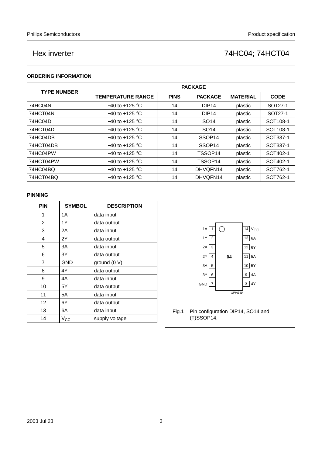### **ORDERING INFORMATION**

| <b>TYPE NUMBER</b> | <b>PACKAGE</b>           |             |                    |                 |                      |  |  |  |  |
|--------------------|--------------------------|-------------|--------------------|-----------------|----------------------|--|--|--|--|
|                    | <b>TEMPERATURE RANGE</b> | <b>PINS</b> | <b>PACKAGE</b>     | <b>MATERIAL</b> | <b>CODE</b>          |  |  |  |  |
| 74HC04N            | $-40$ to $+125$ °C       | 14          | DIP <sub>14</sub>  | plastic         | SOT27-1              |  |  |  |  |
| 74HCT04N           | $-40$ to $+125$ °C       | 14          | DIP <sub>14</sub>  | plastic         | SOT27-1              |  |  |  |  |
| 74HC04D            | $-40$ to $+125$ °C       | 14          | SO <sub>14</sub>   | plastic         | SOT <sub>108-1</sub> |  |  |  |  |
| 74HCT04D           | $-40$ to $+125$ °C       | 14          | SO <sub>14</sub>   | plastic         | SOT <sub>108-1</sub> |  |  |  |  |
| 74HC04DB           | $-40$ to +125 °C         | 14          | SSOP <sub>14</sub> | plastic         | SOT337-1             |  |  |  |  |
| 74HCT04DB          | $-40$ to $+125$ °C       | 14          | SSOP <sub>14</sub> | plastic         | SOT337-1             |  |  |  |  |
| 74HC04PW           | $-40$ to +125 °C         | 14          | TSSOP14            | plastic         | SOT402-1             |  |  |  |  |
| 74HCT04PW          | $-40$ to $+125$ °C       | 14          | TSSOP14            | plastic         | SOT402-1             |  |  |  |  |
| 74HC04BQ           | $-40$ to $+125$ °C       | 14          | DHVQFN14           | plastic         | SOT762-1             |  |  |  |  |
| 74HCT04BQ          | $-40$ to $+125$ °C       | 14          | DHVQFN14           | plastic         | SOT762-1             |  |  |  |  |

#### **PINNING**

| <b>PIN</b> | <b>SYMBOL</b> | <b>DESCRIPTION</b> |
|------------|---------------|--------------------|
| 1          | 1Α            | data input         |
| 2          | 1Y            | data output        |
| 3          | 2Α            | data input         |
| 4          | 2Y            | data output        |
| 5          | ЗA            | data input         |
| 6          | 3Y            | data output        |
| 7          | <b>GND</b>    | ground (0 V)       |
| 8          | 4Y            | data output        |
| 9          | 4А            | data input         |
| 10         | 5Y            | data output        |
| 11         | 5A            | data input         |
| 12         | 6Y            | data output        |
| 13         | 6A            | data input         |
| 14         | $\rm V_{CC}$  | supply voltage     |

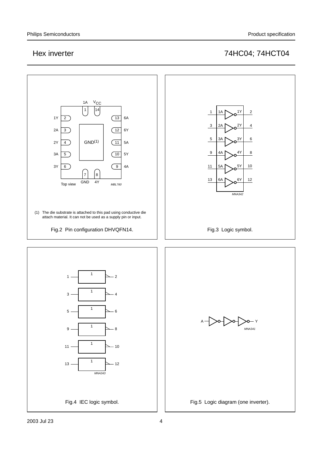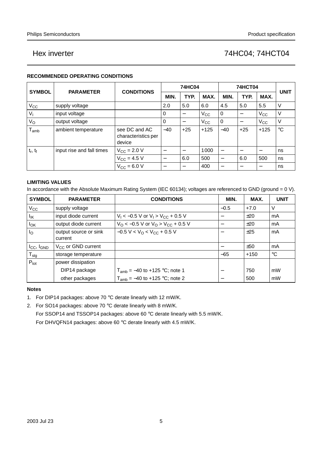### **RECOMMENDED OPERATING CONDITIONS**

|               | <b>PARAMETER</b>          | <b>CONDITIONS</b>                              | 74HC04 |                          |              | <b>74HCT04</b>           |                          |              | <b>UNIT</b> |
|---------------|---------------------------|------------------------------------------------|--------|--------------------------|--------------|--------------------------|--------------------------|--------------|-------------|
| <b>SYMBOL</b> |                           |                                                | MIN.   | TYP.                     | MAX.         | MIN.                     | TYP.                     | MAX.         |             |
| $V_{\rm CC}$  | supply voltage            |                                                | 2.0    | 5.0                      | 6.0          | 4.5                      | 5.0                      | 5.5          | V           |
| $V_{1}$       | input voltage             |                                                | 0      |                          | $V_{\rm CC}$ | $\mathbf 0$              |                          | $V_{\rm CC}$ | V           |
| $V_{\rm O}$   | output voltage            |                                                | 0      | $\overline{\phantom{0}}$ | $V_{\rm CC}$ | 0                        | $\overline{\phantom{0}}$ | $V_{\rm CC}$ | ٧           |
| $T_{amb}$     | ambient temperature       | see DC and AC<br>characteristics per<br>device | $-40$  | $+25$                    | $+125$       | $-40$                    | $+25$                    | $+125$       | $^{\circ}C$ |
| $t_r$ , $t_f$ | input rise and fall times | $V_{\rm CC}$ = 2.0 V                           | -      |                          | 1000         |                          |                          |              | ns          |
|               |                           | $V_{CC}$ = 4.5 V                               | —      | 6.0                      | 500          | $\overline{\phantom{0}}$ | 6.0                      | 500          | ns          |
|               |                           | $V_{\rm CC} = 6.0 V$                           | –      |                          | 400          | -                        |                          |              | ns          |

### **LIMITING VALUES**

In accordance with the Absolute Maximum Rating System (IEC 60134); voltages are referenced to GND (ground = 0 V).

| <b>SYMBOL</b>              | <b>PARAMETER</b>                 | <b>CONDITIONS</b>                          | MIN.            | MAX.   | <b>UNIT</b> |
|----------------------------|----------------------------------|--------------------------------------------|-----------------|--------|-------------|
| $V_{\rm CC}$               | supply voltage                   |                                            | $-0.5$          | $+7.0$ | V           |
| Ιıκ                        | input diode current              | $V_1 < -0.5$ V or $V_1 > V_{CC} + 0.5$ V   |                 | ±20    | mA          |
| $I_{OK}$                   | output diode current             | $V_O$ < -0.5 V or $V_O$ > $V_{CC}$ + 0.5 V |                 | ±20    | mA          |
| $I_{\rm O}$                | output source or sink<br>current | $-0.5 V < VO < VCC + 0.5 V$                | $\qquad \qquad$ | ±25    | mA          |
| $I_{CC}$ , $I_{GND}$       | $V_{CC}$ or GND current          |                                            |                 | ±50    | mA          |
| ${\mathsf T}_{\text{stg}}$ | storage temperature              |                                            | $-65$           | $+150$ | $^{\circ}C$ |
| $P_{\text{tot}}$           | power dissipation                |                                            |                 |        |             |
|                            | DIP14 package                    | $T_{amb} = -40$ to +125 °C; note 1         |                 | 750    | mW          |
|                            | other packages                   | $T_{amb} = -40$ to +125 °C; note 2         |                 | 500    | mW          |

### **Notes**

- 1. For DIP14 packages: above 70 °C derate linearly with 12 mW/K.
- 2. For SO14 packages: above 70 °C derate linearly with 8 mW/K. For SSOP14 and TSSOP14 packages: above 60 °C derate linearly with 5.5 mW/K. For DHVQFN14 packages: above 60 °C derate linearly with 4.5 mW/K.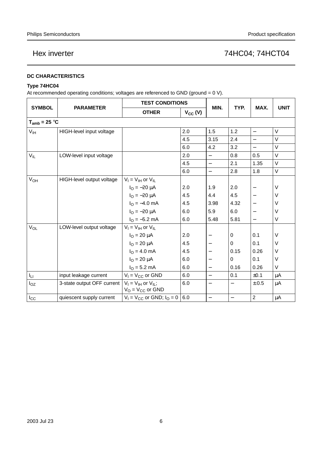### **DC CHARACTERISTICS**

### **Type 74HC04**

At recommended operating conditions; voltages are referenced to GND (ground =  $0$  V).

|                   | <b>PARAMETER</b>           | <b>TEST CONDITIONS</b>                                |              |                          |                   |                          |             |
|-------------------|----------------------------|-------------------------------------------------------|--------------|--------------------------|-------------------|--------------------------|-------------|
| <b>SYMBOL</b>     |                            | <b>OTHER</b>                                          | $V_{CC} (V)$ | MIN.                     | TYP.              | MAX.                     | <b>UNIT</b> |
| $T_{amb} = 25 °C$ |                            |                                                       |              |                          |                   |                          |             |
| $V_{\text{IH}}$   | HIGH-level input voltage   |                                                       | 2.0          | 1.5                      | 1.2               | $\overline{\phantom{0}}$ | V           |
|                   |                            |                                                       | 4.5          | 3.15                     | 2.4               |                          | V           |
|                   |                            |                                                       | 6.0          | 4.2                      | 3.2               | $\equiv$                 | $\vee$      |
| $V_{IL}$          | LOW-level input voltage    |                                                       | 2.0          | $\overline{\phantom{0}}$ | 0.8               | 0.5                      | V           |
|                   |                            |                                                       | 4.5          | $\overline{\phantom{0}}$ | 2.1               | 1.35                     | V           |
|                   |                            |                                                       | 6.0          | $\overline{\phantom{0}}$ | 2.8               | 1.8                      | V           |
| $V_{OH}$          | HIGH-level output voltage  | $V_I = V_{IH}$ or $V_{IL}$                            |              |                          |                   |                          |             |
|                   |                            | $I_{\rm O} = -20 \mu A$                               | 2.0          | 1.9                      | 2.0               |                          | $\vee$      |
|                   |                            | $I_{O} = -20 \mu A$                                   | 4.5          | 4.4                      | 4.5               |                          | $\vee$      |
|                   |                            | $IO = -4.0 mA$                                        | 4.5          | 3.98                     | 4.32              |                          | $\vee$      |
|                   |                            | $I_{\text{O}} = -20 \mu A$                            | 6.0          | 5.9                      | 6.0               |                          | $\vee$      |
|                   |                            | $I_{\rm O} = -5.2$ mA                                 | 6.0          | 5.48                     | 5.81              | $\overline{\phantom{0}}$ | V           |
| $V_{OL}$          | LOW-level output voltage   | $V_I = V_{IH}$ or $V_{IL}$                            |              |                          |                   |                          |             |
|                   |                            | $I_{O} = 20 \mu A$                                    | 2.0          |                          | 0                 | 0.1                      | V           |
|                   |                            | $I_{O} = 20 \mu A$                                    | 4.5          | $\qquad \qquad -$        | $\pmb{0}$         | 0.1                      | V           |
|                   |                            | $IO = 4.0$ mA                                         | 4.5          | $\overline{\phantom{0}}$ | 0.15              | 0.26                     | V           |
|                   |                            | $I_{\rm O} = 20 \mu A$                                | 6.0          | $\overline{\phantom{0}}$ | 0                 | 0.1                      | V           |
|                   |                            | $IO = 5.2 mA$                                         | 6.0          | $\overline{\phantom{0}}$ | 0.16              | 0.26                     | V           |
| Ιu                | input leakage current      | $V_1 = V_{CC}$ or GND                                 | 6.0          | $\overline{\phantom{0}}$ | 0.1               | ±0.1                     | $\mu$ A     |
| $I_{OZ}$          | 3-state output OFF current | $V_1 = V_{1H}$ or $V_{1L}$ ;<br>$V_O = V_{CC}$ or GND | 6.0          | $\qquad \qquad -$        | $\qquad \qquad -$ | $\pm .0.5$               | μA          |
| $I_{\rm CC}$      | quiescent supply current   | $V_1 = V_{CC}$ or GND; $I_Q = 0$                      | 6.0          |                          |                   | $\overline{c}$           | $\mu$ A     |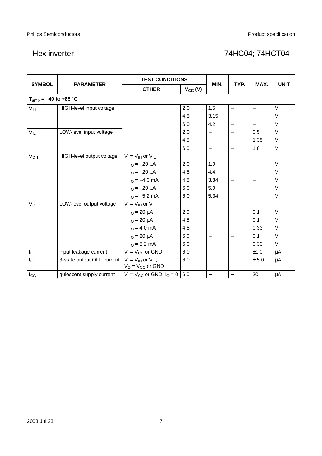|                           | <b>PARAMETER</b>           | <b>TEST CONDITIONS</b>                                |              |                          |                          | MAX.                     |             |
|---------------------------|----------------------------|-------------------------------------------------------|--------------|--------------------------|--------------------------|--------------------------|-------------|
| <b>SYMBOL</b>             |                            | <b>OTHER</b>                                          | $V_{CC} (V)$ | MIN.                     | TYP.                     |                          | <b>UNIT</b> |
| $T_{amb} = -40$ to +85 °C |                            |                                                       |              |                          |                          |                          |             |
| V <sub>IH</sub>           | HIGH-level input voltage   |                                                       | 2.0          | 1.5                      | $\qquad \qquad -$        | $\overline{\phantom{0}}$ | $\vee$      |
|                           |                            |                                                       | 4.5          | 3.15                     | $\overline{\phantom{0}}$ | $\overline{\phantom{0}}$ | $\vee$      |
|                           |                            |                                                       | 6.0          | 4.2                      | $\overline{\phantom{0}}$ | $\equiv$                 | $\vee$      |
| $V_{IL}$                  | LOW-level input voltage    |                                                       | 2.0          | $\overline{\phantom{0}}$ | $\qquad \qquad -$        | 0.5                      | $\vee$      |
|                           |                            |                                                       | 4.5          | $\equiv$                 | $\overline{\phantom{0}}$ | 1.35                     | $\vee$      |
|                           |                            |                                                       | 6.0          | $\overline{\phantom{0}}$ | $\equiv$                 | 1.8                      | $\vee$      |
| <b>V<sub>OH</sub></b>     | HIGH-level output voltage  | $V_I = V_{IH}$ or $V_{IL}$                            |              |                          |                          |                          |             |
|                           |                            | $I_{\rm O} = -20 \mu A$                               | 2.0          | 1.9                      |                          |                          | V           |
|                           |                            | $I_{\text{O}} = -20 \mu A$                            | 4.5          | 4.4                      |                          |                          | V           |
|                           |                            | $IO = -4.0$ mA                                        | 4.5          | 3.84                     |                          |                          | V           |
|                           |                            | $I_{\rm O} = -20 \mu A$                               | 6.0          | 5.9                      | $\overline{\phantom{0}}$ |                          | $\vee$      |
|                           |                            | $I_{\rm O} = -5.2$ mA                                 | 6.0          | 5.34                     | $\overline{\phantom{0}}$ |                          | $\vee$      |
| V <sub>OL</sub>           | LOW-level output voltage   | $V_I = V_{IH}$ or $V_{IL}$                            |              |                          |                          |                          |             |
|                           |                            | $I_{O} = 20 \mu A$                                    | 2.0          |                          |                          | 0.1                      | $\vee$      |
|                           |                            | $I_{O} = 20 \mu A$                                    | 4.5          | $\overline{\phantom{0}}$ |                          | 0.1                      | $\vee$      |
|                           |                            | $IO = 4.0 mA$                                         | 4.5          | $\overline{\phantom{0}}$ |                          | 0.33                     | V           |
|                           |                            | $I_{\text{O}} = 20 \mu A$                             | 6.0          | $\qquad \qquad -$        |                          | 0.1                      | V           |
|                           |                            | $IO = 5.2 mA$                                         | 6.0          | $\overline{\phantom{0}}$ | $\overline{\phantom{0}}$ | 0.33                     | V           |
| Iц                        | input leakage current      | $V_1 = V_{CC}$ or GND                                 | 6.0          | $\overline{\phantom{0}}$ | $\overline{\phantom{0}}$ | ±1.0                     | μA          |
| $I_{OZ}$                  | 3-state output OFF current | $V_I = V_{IH}$ or $V_{IL}$ ;<br>$V_O = V_{CC}$ or GND | 6.0          | $\qquad \qquad -$        | $\overline{\phantom{0}}$ | ±.5.0                    | $\mu$ A     |
| $I_{\rm CC}$              | quiescent supply current   | $V_1 = V_{CC}$ or GND; $I_Q = 0$                      | 6.0          | $\overline{\phantom{0}}$ | $\overline{\phantom{0}}$ | 20                       | μA          |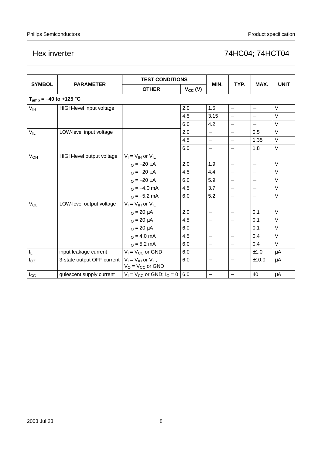|                            | <b>PARAMETER</b>           | <b>TEST CONDITIONS</b>                                |              |                          |                          |                          |             |
|----------------------------|----------------------------|-------------------------------------------------------|--------------|--------------------------|--------------------------|--------------------------|-------------|
| <b>SYMBOL</b>              |                            | <b>OTHER</b>                                          | $V_{CC} (V)$ | MIN.                     | TYP.                     | MAX.                     | <b>UNIT</b> |
| $T_{amb} = -40$ to +125 °C |                            |                                                       |              |                          |                          |                          |             |
| V <sub>IH</sub>            | HIGH-level input voltage   |                                                       | 2.0          | 1.5                      | $\qquad \qquad -$        | $\overline{\phantom{0}}$ | $\vee$      |
|                            |                            |                                                       | 4.5          | 3.15                     | $\overline{\phantom{0}}$ |                          | $\vee$      |
|                            |                            |                                                       | 6.0          | 4.2                      | $\qquad \qquad -$        | $\overline{\phantom{0}}$ | $\vee$      |
| $V_{IL}$                   | LOW-level input voltage    |                                                       | 2.0          | $\equiv$                 | $\equiv$                 | 0.5                      | $\vee$      |
|                            |                            |                                                       | 4.5          | $\overline{\phantom{0}}$ | $\equiv$                 | 1.35                     | $\vee$      |
|                            |                            |                                                       | 6.0          | $\equiv$                 | $\equiv$                 | 1.8                      | V           |
| V <sub>OH</sub>            | HIGH-level output voltage  | $V_I = V_{IH}$ or $V_{IL}$                            |              |                          |                          |                          |             |
|                            |                            | $I_{\rm O} = -20 \mu A$                               | 2.0          | 1.9                      |                          |                          | $\vee$      |
|                            |                            | $I_{\rm O} = -20 \mu A$                               | 4.5          | 4.4                      |                          |                          | $\vee$      |
|                            |                            | $I_{\rm O} = -20 \mu A$                               | 6.0          | 5.9                      |                          |                          | $\vee$      |
|                            |                            | $I_{\text{O}} = -4.0 \text{ mA}$                      | 4.5          | 3.7                      |                          |                          | $\vee$      |
|                            |                            | $IO = -5.2 mA$                                        | 6.0          | 5.2                      |                          |                          | $\vee$      |
| V <sub>OL</sub>            | LOW-level output voltage   | $V_I = V_{IH}$ or $V_{IL}$                            |              |                          |                          |                          |             |
|                            |                            | $I_{\rm O} = 20 \mu A$                                | 2.0          |                          |                          | 0.1                      | $\vee$      |
|                            |                            | $I_{O} = 20 \mu A$                                    | 4.5          | $\qquad \qquad -$        |                          | 0.1                      | V           |
|                            |                            | $IO = 20 \mu A$                                       | 6.0          | $\overline{\phantom{0}}$ |                          | 0.1                      | $\vee$      |
|                            |                            | $I_{\Omega} = 4.0$ mA                                 | 4.5          | $\qquad \qquad -$        | $\overline{\phantom{0}}$ | 0.4                      | V           |
|                            |                            | $IO = 5.2 mA$                                         | 6.0          | $\overline{\phantom{0}}$ | $\overline{\phantom{0}}$ | 0.4                      | V           |
| Iц                         | input leakage current      | $V_1 = V_{CC}$ or GND                                 | 6.0          | $\qquad \qquad -$        | $\qquad \qquad -$        | ±1.0                     | μA          |
| $I_{OZ}$                   | 3-state output OFF current | $V_1 = V_{1H}$ or $V_{1L}$ ;<br>$V_O = V_{CC}$ or GND | 6.0          | $\overline{\phantom{0}}$ | $\overline{\phantom{0}}$ | ±10.0                    | μA          |
| $I_{\rm CC}$               | quiescent supply current   | $V_1 = V_{CC}$ or GND; $I_Q = 0$                      | 6.0          | $\overline{\phantom{0}}$ | $\overline{\phantom{0}}$ | 40                       | $\mu$ A     |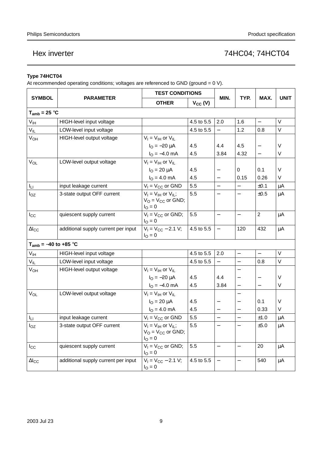### **Type 74HCT04**

At recommended operating conditions; voltages are referenced to GND (ground = 0 V).

|                            |                                     | <b>TEST CONDITIONS</b>                                                    |              |                          |                          | MAX.                     | <b>UNIT</b> |
|----------------------------|-------------------------------------|---------------------------------------------------------------------------|--------------|--------------------------|--------------------------|--------------------------|-------------|
| <b>SYMBOL</b>              | <b>PARAMETER</b>                    | <b>OTHER</b>                                                              | $V_{CC} (V)$ | MIN.                     | TYP.                     |                          |             |
| $T_{amb} = 25 °C$          |                                     |                                                                           |              |                          |                          |                          |             |
| $\mathsf{V}_{\mathsf{IH}}$ | HIGH-level input voltage            |                                                                           | 4.5 to 5.5   | 2.0                      | 1.6                      | $\overline{\phantom{0}}$ | $\vee$      |
| $V_{IL}$                   | LOW-level input voltage             |                                                                           | 4.5 to 5.5   | $\equiv$                 | 1.2                      | 0.8                      | $\vee$      |
| $V_{OH}$                   | HIGH-level output voltage           | $V_I = V_{IH}$ or $V_{IL}$                                                |              |                          |                          |                          |             |
|                            |                                     | $I_{\text{O}} = -20 \mu A$                                                | 4.5          | 4.4                      | 4.5                      |                          | V           |
|                            |                                     | $IO = -4.0$ mA                                                            | 4.5          | 3.84                     | 4.32                     | $\qquad \qquad -$        | V           |
| $V_{OL}$                   | LOW-level output voltage            | $V_I = V_{IH}$ or $V_{IL}$                                                |              |                          |                          |                          |             |
|                            |                                     | $I_{\Omega} = 20 \mu A$                                                   | 4.5          |                          | $\Omega$                 | 0.1                      | V           |
|                            |                                     | $IO = 4.0 mA$                                                             | 4.5          |                          | 0.15                     | 0.26                     | V           |
| Iц.                        | input leakage current               | $V_1 = V_{CC}$ or GND                                                     | 5.5          | $\equiv$                 |                          | ±0.1                     | $\mu$ A     |
| $I_{OZ}$                   | 3-state output OFF current          | $V_1 = V_{1H}$ or $V_{1L}$ ;<br>$V_O = V_{CC}$ or GND;<br>$I_{\rm O} = 0$ | 5.5          |                          | $\overline{\phantom{0}}$ | ±0.5                     | $\mu$ A     |
| $I_{\rm CC}$               | quiescent supply current            | $V_1 = V_{CC}$ or GND;<br>$I_{\rm O} = 0$                                 | 5.5          | $\overline{\phantom{0}}$ | $\overline{\phantom{0}}$ | $\overline{2}$           | μA          |
| $\Delta I_{CC}$            | additional supply current per input | $V_1 = V_{CC} - 2.1 V;$<br>$I_{\rm O} = 0$                                | 4.5 to 5.5   | $\overline{\phantom{0}}$ | 120                      | 432                      | μA          |
| $T_{amb} = -40$ to +85 °C  |                                     |                                                                           |              |                          |                          |                          |             |
| $V_{IH}$                   | HIGH-level input voltage            |                                                                           | 4.5 to 5.5   | 2.0                      | $\overline{\phantom{0}}$ |                          | V           |
| $V_{IL}$                   | LOW-level input voltage             |                                                                           | 4.5 to 5.5   |                          | $\overline{a}$           | 0.8                      | $\vee$      |
| $V_{OH}$                   | HIGH-level output voltage           | $V_I = V_{IH}$ or $V_{IL}$                                                |              |                          | $\overline{\phantom{0}}$ |                          |             |
|                            |                                     | $I_{O} = -20 \mu A$                                                       | 4.5          | 4.4                      |                          | $\overline{\phantom{0}}$ | V           |
|                            |                                     | $IO = -4.0$ mA                                                            | 4.5          | 3.84                     | $\qquad \qquad -$        | $\overline{\phantom{0}}$ | V           |
| $V_{OL}$                   | LOW-level output voltage            | $V_I = V_{IH}$ or $V_{IL}$                                                |              |                          |                          |                          |             |
|                            |                                     | $I_{O} = 20 \mu A$                                                        | 4.5          | $\overline{\phantom{0}}$ | $\overline{\phantom{0}}$ | 0.1                      | V           |
|                            |                                     | $I_{\rm O} = 4.0 \text{ mA}$                                              | 4.5          |                          |                          | 0.33                     | V           |
| Iц                         | input leakage current               | $V_1 = V_{CC}$ or GND                                                     | 5.5          | $\overline{a}$           | $\frac{1}{2}$            | ±1.0                     | μA          |
| $I_{OZ}$                   | 3-state output OFF current          | $V_I = V_{IH}$ or $V_{IL}$ ;<br>$V_O = V_{CC}$ or GND;<br>$I_{\rm O} = 0$ | 5.5          |                          |                          | ±5.0                     | μA          |
| $I_{\rm CC}$               | quiescent supply current            | $V_1 = V_{CC}$ or GND;<br>$I_{\Omega} = 0$                                | 5.5          | $\qquad \qquad -$        | $\overline{\phantom{0}}$ | 20                       | $\mu$ A     |
| $\Delta$ <sub>cc</sub>     | additional supply current per input | $V_1 = V_{CC} - 2.1 V;$<br>$I_{\rm O} = 0$                                | 4.5 to 5.5   | $\overline{\phantom{0}}$ | $\overline{\phantom{0}}$ | 540                      | $\mu$ A     |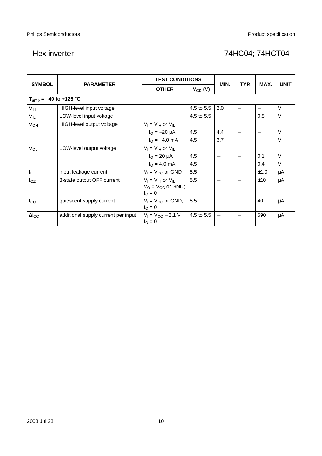|                        | <b>PARAMETER</b>                    | <b>TEST CONDITIONS</b>                                                    |              |                          | MAX.                     | <b>UNIT</b>              |        |
|------------------------|-------------------------------------|---------------------------------------------------------------------------|--------------|--------------------------|--------------------------|--------------------------|--------|
| <b>SYMBOL</b>          |                                     | <b>OTHER</b>                                                              | $V_{CC} (V)$ | MIN.                     | TYP.                     |                          |        |
|                        | $T_{amb} = -40$ to +125 °C          |                                                                           |              |                          |                          |                          |        |
| V <sub>IH</sub>        | HIGH-level input voltage            |                                                                           | 4.5 to 5.5   | 2.0                      | $\overline{\phantom{0}}$ | $\overline{\phantom{0}}$ | $\vee$ |
| $V_{IL}$               | LOW-level input voltage             |                                                                           | 4.5 to 5.5   |                          |                          | 0.8                      | $\vee$ |
| V <sub>OH</sub>        | HIGH-level output voltage           | $V_I = V_{IH}$ or $V_{IL}$                                                |              |                          |                          |                          |        |
|                        |                                     | $I_{\rm O} = -20 \mu A$                                                   | 4.5          | 4.4                      |                          |                          | V      |
|                        |                                     | $I_{\rm O} = -4.0 \text{ mA}$                                             | 4.5          | 3.7                      |                          |                          | V      |
| <b>V<sub>OL</sub></b>  | LOW-level output voltage            | $V_I = V_{IH}$ or $V_{IL}$                                                |              |                          |                          |                          |        |
|                        |                                     | $I_{\rm O} = 20 \mu A$                                                    | 4.5          |                          |                          | 0.1                      | V      |
|                        |                                     | $IO = 4.0$ mA                                                             | 4.5          | $\qquad \qquad -$        |                          | 0.4                      | $\vee$ |
| Iц                     | input leakage current               | $V_1 = V_{CC}$ or GND                                                     | 5.5          | $\overline{\phantom{0}}$ |                          | ±1.0                     | μA     |
| $I_{OZ}$               | 3-state output OFF current          | $V_I = V_{IH}$ or $V_{IL}$ ;<br>$V_O = V_{CC}$ or GND;<br>$I_{\rm O} = 0$ | 5.5          |                          |                          | ±10                      | μA     |
| $I_{\rm CC}$           | quiescent supply current            | $V_1 = V_{CC}$ or GND;<br>$I_{\rm O} = 0$                                 | 5.5          |                          |                          | 40                       | μA     |
| $\Delta$ <sub>cc</sub> | additional supply current per input | $V_1 = V_{CC} - 2.1 V$ ;<br>$I_{\rm O} = 0$                               | 4.5 to 5.5   | $\overline{\phantom{m}}$ |                          | 590                      | μA     |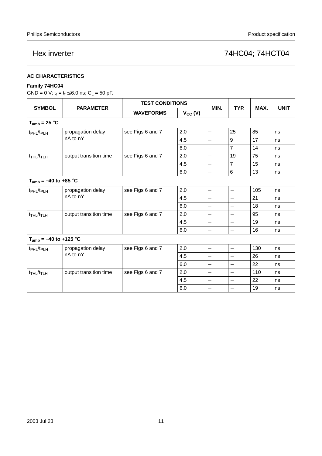#### **AC CHARACTERISTICS**

### **Family 74HC04**

GND = 0 V;  $t_r = t_f \le 6.0$  ns;  $C_L = 50$  pF.

|                                         | <b>PARAMETER</b>              |                  | <b>TEST CONDITIONS</b> |                          |                          |      |             |
|-----------------------------------------|-------------------------------|------------------|------------------------|--------------------------|--------------------------|------|-------------|
| <b>SYMBOL</b>                           |                               | <b>WAVEFORMS</b> | $V_{CC} (V)$           | MIN.                     | TYP.                     | MAX. | <b>UNIT</b> |
| $T_{amb}$ = 25 °C                       |                               |                  |                        |                          |                          |      |             |
| t <sub>PHL</sub> /t <sub>PLH</sub>      | propagation delay             | see Figs 6 and 7 | 2.0                    | $\overline{\phantom{0}}$ | 25                       | 85   | ns          |
|                                         | nA to nY                      |                  | 4.5                    | $\qquad \qquad -$        | 9                        | 17   | ns          |
|                                         |                               |                  | 6.0                    | $\overline{\phantom{0}}$ | $\overline{7}$           | 14   | ns          |
| $t$ <sub>THL</sub> / $t$ <sub>TLH</sub> | output transition time        | see Figs 6 and 7 | 2.0                    | $\qquad \qquad -$        | 19                       | 75   | ns          |
|                                         |                               |                  | 4.5                    | $\overline{\phantom{0}}$ | $\overline{7}$           | 15   | ns          |
|                                         |                               |                  | 6.0                    | $\overline{\phantom{0}}$ | 6                        | 13   | ns          |
| $T_{amb} = -40$ to +85 °C               |                               |                  |                        |                          |                          |      |             |
| t <sub>PHL</sub> /t <sub>PLH</sub>      | propagation delay<br>nA to nY | see Figs 6 and 7 | 2.0                    | $\overline{\phantom{0}}$ | $\overline{\phantom{0}}$ | 105  | ns          |
|                                         |                               |                  | 4.5                    | $\equiv$                 | $\equiv$                 | 21   | ns          |
|                                         |                               |                  | 6.0                    | $\equiv$                 | $\overline{a}$           | 18   | ns          |
| $t_{THL}/t_{TLH}$                       | output transition time        | see Figs 6 and 7 | 2.0                    | $\overline{\phantom{0}}$ | $\overline{\phantom{0}}$ | 95   | ns          |
|                                         |                               |                  | 4.5                    | —                        |                          | 19   | ns          |
|                                         |                               |                  | 6.0                    | —                        | —                        | 16   | ns          |
| $T_{amb} = -40$ to +125 °C              |                               |                  |                        |                          |                          |      |             |
| t <sub>PHL</sub> /t <sub>PLH</sub>      | propagation delay             | see Figs 6 and 7 | 2.0                    | $\qquad \qquad -$        | $\qquad \qquad -$        | 130  | ns          |
|                                         | nA to nY                      |                  | 4.5                    | —                        | $\overline{\phantom{0}}$ | 26   | ns          |
|                                         |                               |                  | 6.0                    | $\qquad \qquad -$        | $\qquad \qquad -$        | 22   | ns          |
| t <sub>THL</sub> /t <sub>TLH</sub>      | output transition time        | see Figs 6 and 7 | 2.0                    | $\overline{\phantom{0}}$ | $\overline{\phantom{0}}$ | 110  | ns          |
|                                         |                               |                  | 4.5                    | $\qquad \qquad -$        | $\overline{\phantom{0}}$ | 22   | ns          |
|                                         |                               |                  | 6.0                    | $\qquad \qquad -$        | $\overline{\phantom{0}}$ | 19   | ns          |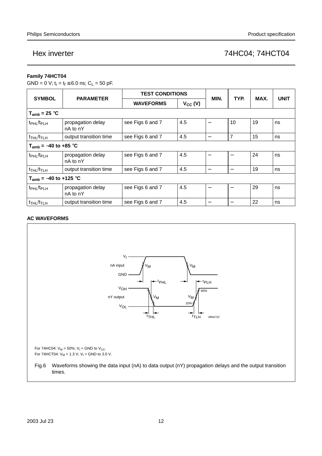### **Family 74HCT04**

GND = 0 V;  $t_r = t_f \le 6.0$  ns;  $C_L = 50$  pF.

| <b>SYMBOL</b>                           | <b>PARAMETER</b>              | <b>TEST CONDITIONS</b> |              | MIN.                     |                          |      |             |
|-----------------------------------------|-------------------------------|------------------------|--------------|--------------------------|--------------------------|------|-------------|
|                                         |                               | <b>WAVEFORMS</b>       | $V_{CC} (V)$ |                          | TYP.                     | MAX. | <b>UNIT</b> |
| $T_{amb}$ = 25 °C                       |                               |                        |              |                          |                          |      |             |
| t <sub>PHL</sub> /t <sub>PLH</sub>      | propagation delay<br>nA to nY | see Figs 6 and 7       | 4.5          |                          | 10                       | 19   | ns          |
| $t$ <sub>THL</sub> / $t$ <sub>TLH</sub> | output transition time        | see Figs 6 and 7       | 4.5          | $\overline{\phantom{0}}$ | 7                        | 15   | ns          |
| $T_{amb}$ = -40 to +85 °C               |                               |                        |              |                          |                          |      |             |
| t <sub>PHL</sub> /t <sub>PLH</sub>      | propagation delay<br>nA to nY | see Figs 6 and 7       | 4.5          |                          | $\overline{\phantom{0}}$ | 24   | ns          |
| $t$ <sub>THL</sub> / $t$ <sub>TLH</sub> | output transition time        | see Figs 6 and 7       | 4.5          | $\qquad \qquad$          | —                        | 19   | ns          |
| $T_{amb} = -40$ to +125 °C              |                               |                        |              |                          |                          |      |             |
| t <sub>PHL</sub> /t <sub>PLH</sub>      | propagation delay<br>nA to nY | see Figs 6 and 7       | 4.5          |                          |                          | 29   | ns          |
| $t$ <sub>THL</sub> / $t$ <sub>TLH</sub> | output transition time        | see Figs 6 and 7       | 4.5          |                          |                          | 22   | ns          |

### **AC WAVEFORMS**

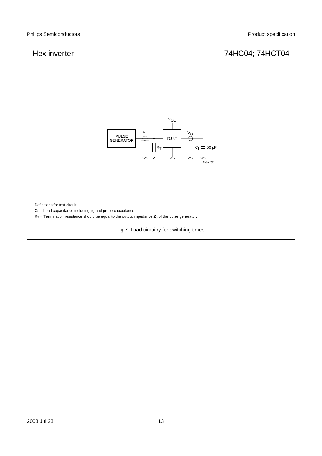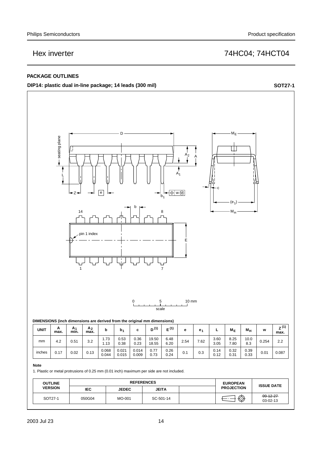### **PACKAGE OUTLINES**

**DIP14: plastic dual in-line package; 14 leads (300 mil) SOT27-1**



#### **Note**

inches

1. Plastic or metal protrusions of 0.25 mm (0.01 inch) maximum per side are not included.

 $0.044$ 

 $0.015$ 

0.009

| <b>OUTLINE</b> | <b>REFERENCES</b> |              |              | <b>EUROPEAN</b> | <b>ISSUE DATE</b> |                             |  |
|----------------|-------------------|--------------|--------------|-----------------|-------------------|-----------------------------|--|
| <b>VERSION</b> | IEC.              | <b>JEDEC</b> | <b>JEITA</b> |                 | <b>PROJECTION</b> |                             |  |
| SOT27-1        | 050G04            | MO-001       | SC-501-14    |                 | ∕⊼<br>₩           | $-99 - 12 - 27$<br>03-02-13 |  |

 $0.24$ 

0.33 0.17 0.02 0.13 0.087

 $0.1$  0.3  $\begin{array}{|c|c|c|c|c|} \hline 0.3 & 0.14 & 0.32 & 0.39 \ \hline 0.12 & 0.31 & 0.33 & 0.01 \ \hline \end{array}$  $0.31$ 

 $0.73$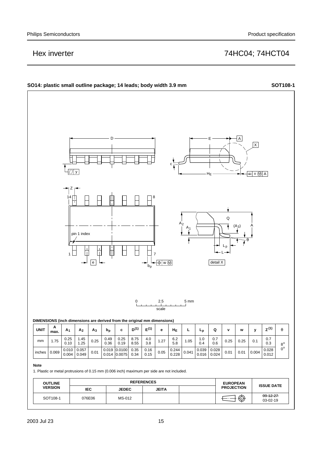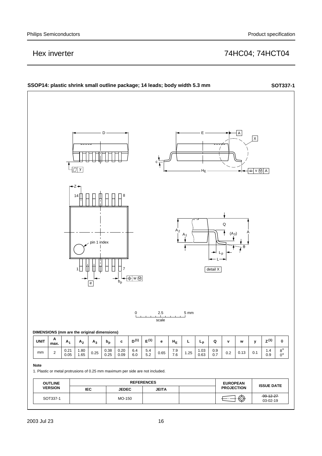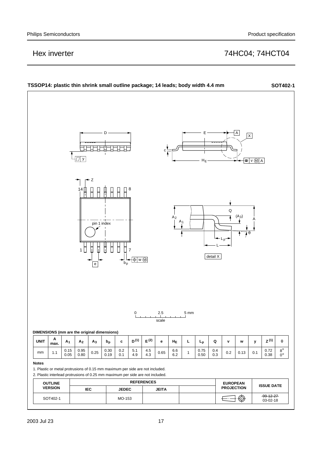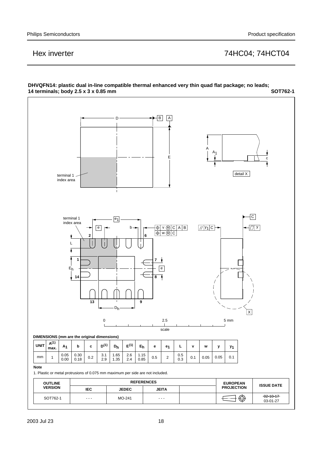#### **14 terminals; body 2.5 x 3 x 0.85 mm SOT762-1**  $\overline{B}$   $\overline{A}$ D A  $A<sub>1</sub>$ E c detail X terminal 1 index area  $\overline{\vert c \vert}$ terminal 1  $\boxed{e_1}$ index area @|γ<del>=</del> b—∽||γ=—|⊕|v ®|C|A|B| |*||*|y<sub>1</sub>|C├━| ├─|*⊒*|y b v M B w M C **2 6** ţ L Ā **1 7** Eh e **14 8**  $\sqrt{2}$ **13 9** Dh  $\overline{\mathsf{x}}$ 0 2.5 5 mm scale **DIMENSIONS (mm are the original dimensions) A(1) D(1)E(1) c Dh e1 L v w**  $U$ NIT  $\begin{bmatrix} R_{11}^{(1)} & A_1 & b & c & D^{(1)} & D_h & E^{(1)} & E_h & e & e_1 & L & v & w & y \end{bmatrix}$ **y1 max.** 0.05 1.65 2.6 1.15 0.5 mm  $\begin{array}{|c|c|c|c|c|c|c|c|c|} \hline 1 & 0.05 & 0.30 & 0.2 & 3.1 \\ \hline 3 & 0.2 & 0.48 & 0.2 & 3.3 \\ \hline \end{array}$  $\begin{array}{|c|c|c|c|c|c|c|c|c|c|c|} \hline 0.30 & 0.2 & 3.1 & 1.65 & 2.6 & 1.15 & 0.5 & 2.6 \ \hline 0.49 & 0.2 & 2.0 & 1.35 & 2.4 & 0.95 & 0.5 & 2.6 \ \hline \end{array}$ 0.2 0.1 0.05 1 0.00 0.00 0.2 0.1  $\frac{2.6}{20}$  1.00 0.2 0.5 0.00 0.05 0.1 0.18 2.9 1.35 2.4 0.85 0.3 **Note** 1. Plastic or metal protrusions of 0.075 mm maximum per side are not included. **OUTLINE** REFERENCES **EUROPEAN PROJECTION ISSUE DATE VERSION IEC JEDEC JEITA**  $\bigoplus \bigoplus$ 02-10-17  $SOT762-1$  ---  $MO-241$  ---03-01-27

# **DHVQFN14: plastic dual in-line compatible thermal enhanced very thin quad flat package; no leads;**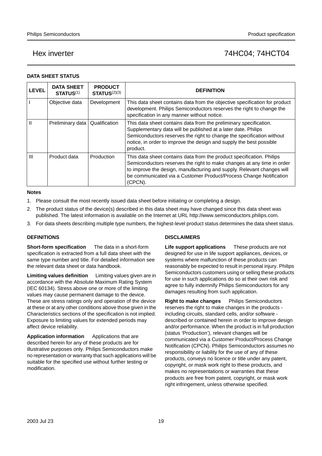#### **DATA SHEET STATUS**

| <b>LEVEL</b> | <b>DATA SHEET</b><br><b>STATUS(1)</b> | <b>PRODUCT</b><br>STATUS <sup>(2)(3)</sup> | <b>DEFINITION</b>                                                                                                                                                                                                                                                                                          |
|--------------|---------------------------------------|--------------------------------------------|------------------------------------------------------------------------------------------------------------------------------------------------------------------------------------------------------------------------------------------------------------------------------------------------------------|
|              | Objective data                        | Development                                | This data sheet contains data from the objective specification for product<br>development. Philips Semiconductors reserves the right to change the<br>specification in any manner without notice.                                                                                                          |
| Ш            | Preliminary data                      | Qualification                              | This data sheet contains data from the preliminary specification.<br>Supplementary data will be published at a later date. Philips<br>Semiconductors reserves the right to change the specification without<br>notice, in order to improve the design and supply the best possible<br>product.             |
| Ш            | Product data                          | Production                                 | This data sheet contains data from the product specification. Philips<br>Semiconductors reserves the right to make changes at any time in order<br>to improve the design, manufacturing and supply. Relevant changes will<br>be communicated via a Customer Product/Process Change Notification<br>(CPCN). |

#### **Notes**

- 1. Please consult the most recently issued data sheet before initiating or completing a design.
- 2. The product status of the device(s) described in this data sheet may have changed since this data sheet was published. The latest information is available on the Internet at URL http://www.semiconductors.philips.com.
- 3. For data sheets describing multiple type numbers, the highest-level product status determines the data sheet status.

#### **DEFINITIONS**

**Short-form specification** — The data in a short-form specification is extracted from a full data sheet with the same type number and title. For detailed information see the relevant data sheet or data handbook.

**Limiting values definition** - Limiting values given are in accordance with the Absolute Maximum Rating System (IEC 60134). Stress above one or more of the limiting values may cause permanent damage to the device. These are stress ratings only and operation of the device at these or at any other conditions above those given in the Characteristics sections of the specification is not implied. Exposure to limiting values for extended periods may affect device reliability.

Application information Applications that are described herein for any of these products are for illustrative purposes only. Philips Semiconductors make no representation or warranty that such applications will be suitable for the specified use without further testing or modification.

### **DISCLAIMERS**

**Life support applications** — These products are not designed for use in life support appliances, devices, or systems where malfunction of these products can reasonably be expected to result in personal injury. Philips Semiconductors customers using or selling these products for use in such applications do so at their own risk and agree to fully indemnify Philips Semiconductors for any damages resulting from such application.

**Right to make changes** - Philips Semiconductors reserves the right to make changes in the products including circuits, standard cells, and/or software described or contained herein in order to improve design and/or performance. When the product is in full production (status 'Production'), relevant changes will be communicated via a Customer Product/Process Change Notification (CPCN). Philips Semiconductors assumes no responsibility or liability for the use of any of these products, conveys no licence or title under any patent, copyright, or mask work right to these products, and makes no representations or warranties that these products are free from patent, copyright, or mask work right infringement, unless otherwise specified.